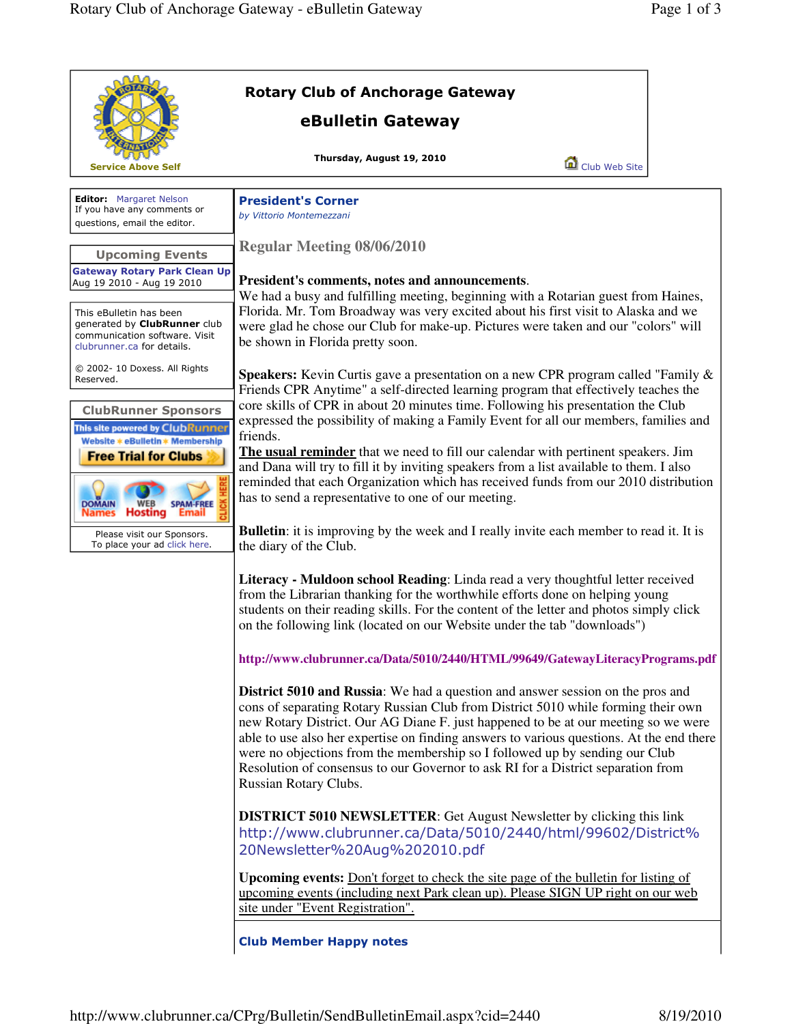|                                                                                                                               | <b>Rotary Club of Anchorage Gateway</b>                                                                                                                                                                                                                                                                                                                                                                                                                                                                                                           |  |
|-------------------------------------------------------------------------------------------------------------------------------|---------------------------------------------------------------------------------------------------------------------------------------------------------------------------------------------------------------------------------------------------------------------------------------------------------------------------------------------------------------------------------------------------------------------------------------------------------------------------------------------------------------------------------------------------|--|
|                                                                                                                               | eBulletin Gateway                                                                                                                                                                                                                                                                                                                                                                                                                                                                                                                                 |  |
| <b>Service Above Self</b>                                                                                                     | Thursday, August 19, 2010<br>Club Web Site                                                                                                                                                                                                                                                                                                                                                                                                                                                                                                        |  |
| <b>Editor:</b> Margaret Nelson<br>If you have any comments or<br>questions, email the editor.                                 | <b>President's Corner</b><br>by Vittorio Montemezzani                                                                                                                                                                                                                                                                                                                                                                                                                                                                                             |  |
| <b>Upcoming Events</b>                                                                                                        | <b>Regular Meeting 08/06/2010</b>                                                                                                                                                                                                                                                                                                                                                                                                                                                                                                                 |  |
| <b>Gateway Rotary Park Clean Up</b><br>Aug 19 2010 - Aug 19 2010                                                              | President's comments, notes and announcements.<br>We had a busy and fulfilling meeting, beginning with a Rotarian guest from Haines,                                                                                                                                                                                                                                                                                                                                                                                                              |  |
| This eBulletin has been<br>generated by <b>ClubRunner</b> club<br>communication software. Visit<br>clubrunner.ca for details. | Florida. Mr. Tom Broadway was very excited about his first visit to Alaska and we<br>were glad he chose our Club for make-up. Pictures were taken and our "colors" will<br>be shown in Florida pretty soon.                                                                                                                                                                                                                                                                                                                                       |  |
| © 2002- 10 Doxess. All Rights<br>Reserved.                                                                                    | <b>Speakers:</b> Kevin Curtis gave a presentation on a new CPR program called "Family &<br>Friends CPR Anytime" a self-directed learning program that effectively teaches the                                                                                                                                                                                                                                                                                                                                                                     |  |
| <b>ClubRunner Sponsors</b><br>This site powered by ClubRunner<br>Website * eBulletin * Membership                             | core skills of CPR in about 20 minutes time. Following his presentation the Club<br>expressed the possibility of making a Family Event for all our members, families and<br>friends.                                                                                                                                                                                                                                                                                                                                                              |  |
| <b>Free Trial for Clubs</b><br><b>DOMAIN</b><br><b>SPAM-FREE</b><br><b>Hosting</b>                                            | The usual reminder that we need to fill our calendar with pertinent speakers. Jim<br>and Dana will try to fill it by inviting speakers from a list available to them. I also<br>reminded that each Organization which has received funds from our 2010 distribution<br>has to send a representative to one of our meeting.                                                                                                                                                                                                                        |  |
| Please visit our Sponsors.<br>To place your ad click here.                                                                    | <b>Bulletin:</b> it is improving by the week and I really invite each member to read it. It is<br>the diary of the Club.                                                                                                                                                                                                                                                                                                                                                                                                                          |  |
|                                                                                                                               | Literacy - Muldoon school Reading: Linda read a very thoughtful letter received<br>from the Librarian thanking for the worthwhile efforts done on helping young<br>students on their reading skills. For the content of the letter and photos simply click<br>on the following link (located on our Website under the tab "downloads")                                                                                                                                                                                                            |  |
|                                                                                                                               | http://www.clubrunner.ca/Data/5010/2440/HTML/99649/GatewayLiteracyPrograms.pdf                                                                                                                                                                                                                                                                                                                                                                                                                                                                    |  |
|                                                                                                                               | District 5010 and Russia: We had a question and answer session on the pros and<br>cons of separating Rotary Russian Club from District 5010 while forming their own<br>new Rotary District. Our AG Diane F. just happened to be at our meeting so we were<br>able to use also her expertise on finding answers to various questions. At the end there<br>were no objections from the membership so I followed up by sending our Club<br>Resolution of consensus to our Governor to ask RI for a District separation from<br>Russian Rotary Clubs. |  |
|                                                                                                                               | <b>DISTRICT 5010 NEWSLETTER:</b> Get August Newsletter by clicking this link<br>http://www.clubrunner.ca/Data/5010/2440/html/99602/District%<br>20Newsletter%20Aug%202010.pdf                                                                                                                                                                                                                                                                                                                                                                     |  |
|                                                                                                                               | <b>Upcoming events:</b> Don't forget to check the site page of the bulletin for listing of<br>upcoming events (including next Park clean up). Please SIGN UP right on our web<br>site under "Event Registration".                                                                                                                                                                                                                                                                                                                                 |  |
|                                                                                                                               | <b>Club Member Happy notes</b>                                                                                                                                                                                                                                                                                                                                                                                                                                                                                                                    |  |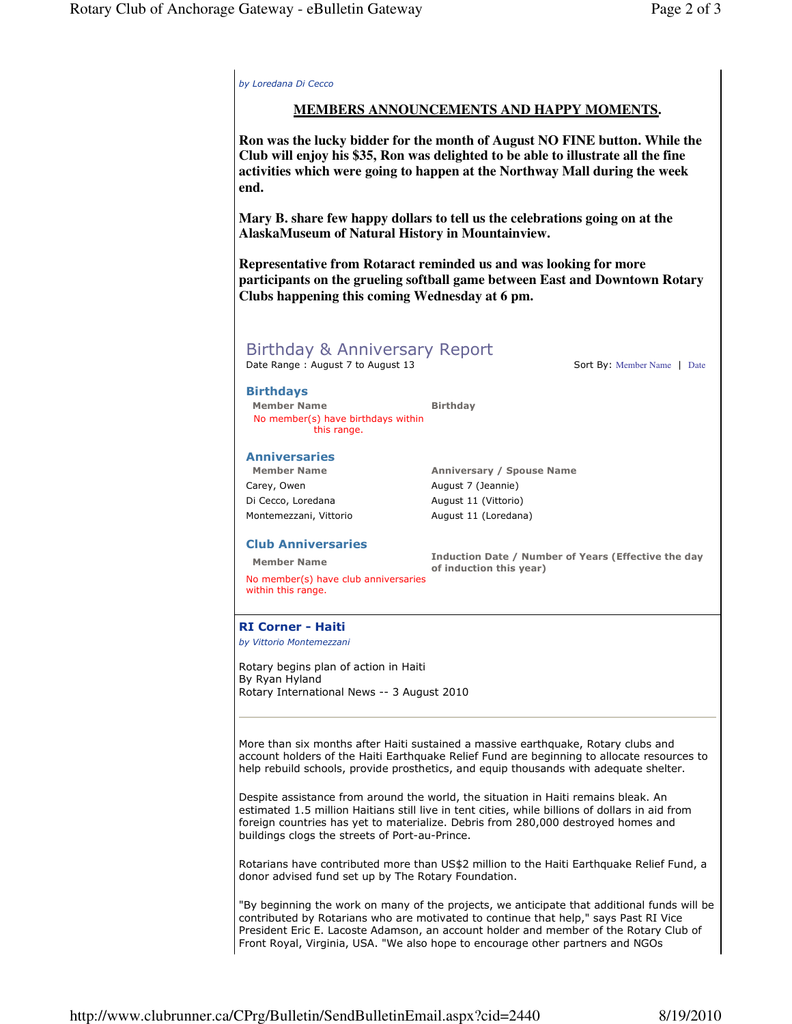by Loredana Di Cecco **MEMBERS ANNOUNCEMENTS AND HAPPY MOMENTS. Ron was the lucky bidder for the month of August NO FINE button. While the Club will enjoy his \$35, Ron was delighted to be able to illustrate all the fine activities which were going to happen at the Northway Mall during the week end. Mary B. share few happy dollars to tell us the celebrations going on at the AlaskaMuseum of Natural History in Mountainview. Representative from Rotaract reminded us and was looking for more participants on the grueling softball game between East and Downtown Rotary Clubs happening this coming Wednesday at 6 pm.** Birthday & Anniversary Report Date Range : August 7 to August 13 Sort By: Member Name | Date Birthdays Member Name Birthday No member(s) have birthdays within this range. Anniversaries Member Name **Anniversary / Spouse Name** Carey, Owen **August 7 (Jeannie)** Di Cecco, Loredana August 11 (Vittorio) Montemezzani, Vittorio **August 11 (Loredana)** Club Anniversaries Member Name **Induction Date / Number of Years (Effective the day** of induction this year) No member(s) have club anniversaries within this range. RI Corner - Haiti by Vittorio Montemezzani Rotary begins plan of action in Haiti By Ryan Hyland Rotary International News -- 3 August 2010 More than six months after Haiti sustained a massive earthquake, Rotary clubs and account holders of the Haiti Earthquake Relief Fund are beginning to allocate resources to help rebuild schools, provide prosthetics, and equip thousands with adequate shelter. Despite assistance from around the world, the situation in Haiti remains bleak. An estimated 1.5 million Haitians still live in tent cities, while billions of dollars in aid from foreign countries has yet to materialize. Debris from 280,000 destroyed homes and buildings clogs the streets of Port-au-Prince. Rotarians have contributed more than US\$2 million to the Haiti Earthquake Relief Fund, a donor advised fund set up by The Rotary Foundation. "By beginning the work on many of the projects, we anticipate that additional funds will be contributed by Rotarians who are motivated to continue that help," says Past RI Vice President Eric E. Lacoste Adamson, an account holder and member of the Rotary Club of

Front Royal, Virginia, USA. "We also hope to encourage other partners and NGOs